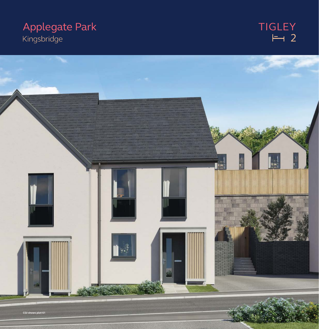## **Applegate Park** Kingsbridge

# TIGLEY<br>H<br>2